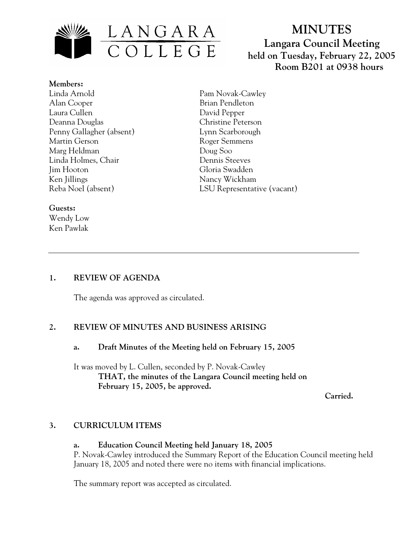

# **MINUTES Langara Council Meeting held on Tuesday, February 22, 2005 Room B201 at 0938 hours**

# **Members:** Linda Arnold

Alan Cooper Laura Cullen Deanna Douglas Penny Gallagher (absent) Martin Gerson Marg Heldman Linda Holmes, Chair Jim Hooton Ken Jillings Reba Noel (absent)

# Pam Novak-Cawley Brian Pendleton David Pepper Christine Peterson Lynn Scarborough Roger Semmens Doug Soo Dennis Steeves Gloria Swadden Nancy Wickham LSU Representative (vacant)

#### **Guests:**

Wendy Low Ken Pawlak

# **1. REVIEW OF AGENDA**

The agenda was approved as circulated.

# **2. REVIEW OF MINUTES AND BUSINESS ARISING**

## **a. Draft Minutes of the Meeting held on February 15, 2005**

It was moved by L. Cullen, seconded by P. Novak-Cawley **THAT, the minutes of the Langara Council meeting held on February 15, 2005, be approved.** 

 **Carried.** 

# **3. CURRICULUM ITEMS**

**a. Education Council Meeting held January 18, 2005**  P. Novak-Cawley introduced the Summary Report of the Education Council meeting held January 18, 2005 and noted there were no items with financial implications.

The summary report was accepted as circulated.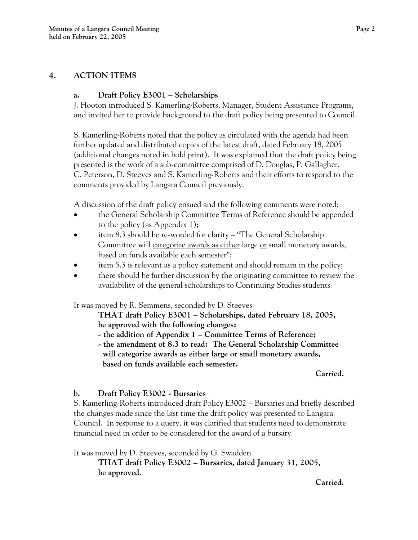### **4. ACTION ITEMS**

#### **a. Draft Policy E3001 – Scholarships**

J. Hooton introduced S. Kamerling-Roberts, Manager, Student Assistance Programs, and invited her to provide background to the draft policy being presented to Council.

S. Kamerling-Roberts noted that the policy as circulated with the agenda had been further updated and distributed copies of the latest draft, dated February 18, 2005 (additional changes noted in bold print). It was explained that the draft policy being presented is the work of a sub-committee comprised of D. Douglas, P. Gallagher, C. Peterson, D. Steeves and S. Kamerling-Roberts and their efforts to respond to the comments provided by Langara Council previously.

A discussion of the draft policy ensued and the following comments were noted:

- the General Scholarship Committee Terms of Reference should be appended to the policy (as Appendix 1);
- item 8.3 should be re-worded for clarity "The General Scholarship Committee will categorize awards as either large or small monetary awards, based on funds available each semester";
- item 5.3 is relevant as a policy statement and should remain in the policy;
- there should be further discussion by the originating committee to review the availability of the general scholarships to Continuing Studies students.

It was moved by R. Semmens, seconded by D. Steeves

**THAT draft Policy E3001 – Scholarships, dated February 18, 2005, be approved with the following changes:** 

- **the addition of Appendix 1 Committee Terms of Reference;**
- **the amendment of 8.3 to read: The General Scholarship Committee will categorize awards as either large or small monetary awards, based on funds available each semester.**

#### **Carried.**

## **b. Draft Policy E3002 - Bursaries**

S. Kamerling-Roberts introduced draft Policy E3002 – Bursaries and briefly described the changes made since the last time the draft policy was presented to Langara Council. In response to a query, it was clarified that students need to demonstrate financial need in order to be considered for the award of a bursary.

It was moved by D. Steeves, seconded by G. Swadden

**THAT draft Policy E3002 – Bursaries, dated January 31, 2005, be approved.** 

**Carried.**